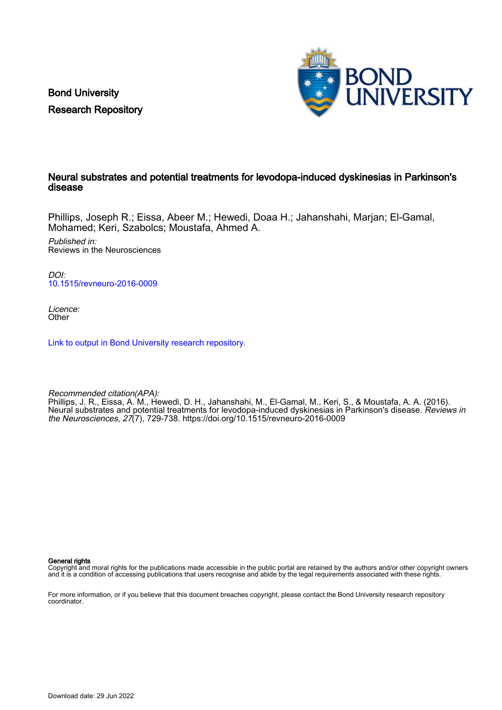Bond University Research Repository



#### Neural substrates and potential treatments for levodopa-induced dyskinesias in Parkinson's disease

Phillips, Joseph R.; Eissa, Abeer M.; Hewedi, Doaa H.; Jahanshahi, Marjan; El-Gamal, Mohamed; Keri, Szabolcs; Moustafa, Ahmed A.

Published in: Reviews in the Neurosciences

DOI: [10.1515/revneuro-2016-0009](https://doi.org/10.1515/revneuro-2016-0009)

Licence: **Other** 

[Link to output in Bond University research repository.](https://research.bond.edu.au/en/publications/e4abcc00-6371-42ea-b274-fcb6057f8f47)

Recommended citation(APA): Phillips, J. R., Eissa, A. M., Hewedi, D. H., Jahanshahi, M., El-Gamal, M., Keri, S., & Moustafa, A. A. (2016). Neural substrates and potential treatments for levodopa-induced dyskinesias in Parkinson's disease. Reviews in the Neurosciences, 27(7), 729-738.<https://doi.org/10.1515/revneuro-2016-0009>

General rights

Copyright and moral rights for the publications made accessible in the public portal are retained by the authors and/or other copyright owners and it is a condition of accessing publications that users recognise and abide by the legal requirements associated with these rights.

For more information, or if you believe that this document breaches copyright, please contact the Bond University research repository coordinator.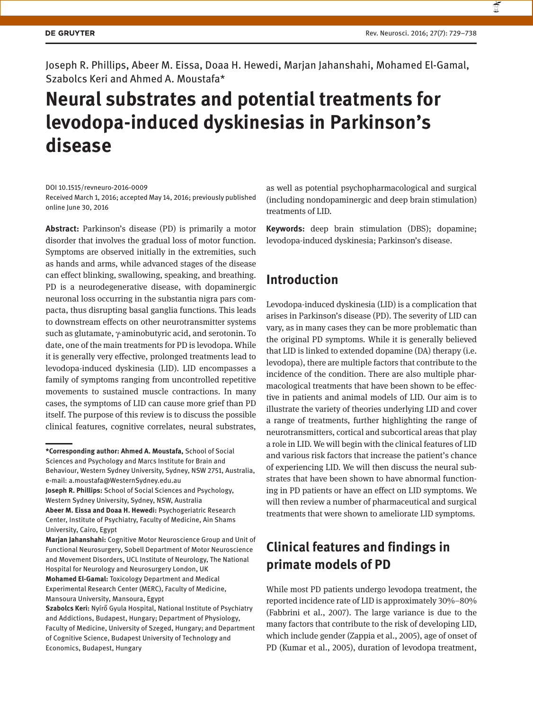Joseph R. Phillips, Abeer M. Eissa, Doaa H. Hewedi, Marjan Jahanshahi, Mohamed El-Gamal, Szabolcs Keri and Ahmed A. Moustafa\*

# **Neural substrates and potential treatments for levodopa-induced dyskinesias in Parkinson's disease**

#### DOI 10.1515/revneuro-2016-0009

Received March 1, 2016; accepted May 14, 2016; previously published online June 30, 2016

**Abstract:** Parkinson's disease (PD) is primarily a motor disorder that involves the gradual loss of motor function. Symptoms are observed initially in the extremities, such as hands and arms, while advanced stages of the disease can effect blinking, swallowing, speaking, and breathing. PD is a neurodegenerative disease, with dopaminergic neuronal loss occurring in the substantia nigra pars compacta, thus disrupting basal ganglia functions. This leads to downstream effects on other neurotransmitter systems such as glutamate, y-aminobutyric acid, and serotonin. To date, one of the main treatments for PD is levodopa. While it is generally very effective, prolonged treatments lead to levodopa-induced dyskinesia (LID). LID encompasses a family of symptoms ranging from uncontrolled repetitive movements to sustained muscle contractions. In many cases, the symptoms of LID can cause more grief than PD itself. The purpose of this review is to discuss the possible clinical features, cognitive correlates, neural substrates,

**Mohamed El-Gamal:** Toxicology Department and Medical Experimental Research Center (MERC), Faculty of Medicine, Mansoura University, Mansoura, Egypt

as well as potential psychopharmacological and surgical (including nondopaminergic and deep brain stimulation) treatments of LID.

**Keywords:** deep brain stimulation (DBS); dopamine; levodopa-induced dyskinesia; Parkinson's disease.

#### **Introduction**

Levodopa-induced dyskinesia (LID) is a complication that arises in Parkinson's disease (PD). The severity of LID can vary, as in many cases they can be more problematic than the original PD symptoms. While it is generally believed that LID is linked to extended dopamine (DA) therapy (i.e. levodopa), there are multiple factors that contribute to the incidence of the condition. There are also multiple pharmacological treatments that have been shown to be effective in patients and animal models of LID. Our aim is to illustrate the variety of theories underlying LID and cover a range of treatments, further highlighting the range of neurotransmitters, cortical and subcortical areas that play a role in LID. We will begin with the clinical features of LID and various risk factors that increase the patient's chance of experiencing LID. We will then discuss the neural substrates that have been shown to have abnormal functioning in PD patients or have an effect on LID symptoms. We will then review a number of pharmaceutical and surgical treatments that were shown to ameliorate LID symptoms.

# **Clinical features and findings in primate models of PD**

While most PD patients undergo levodopa treatment, the reported incidence rate of LID is approximately 30%–80% (Fabbrini et al., 2007). The large variance is due to the many factors that contribute to the risk of developing LID, which include gender (Zappia et al., 2005), age of onset of PD (Kumar et al., 2005), duration of levodopa treatment,

**<sup>\*</sup>Corresponding author: Ahmed A. Moustafa,** School of Social Sciences and Psychology and Marcs Institute for Brain and Behaviour, Western Sydney University, Sydney, NSW 2751, Australia, e-mail: [a.moustafa@WesternSydney.edu.au](mailto:a.moustafa@WesternSydney.edu.au)

**Joseph R. Phillips:** School of Social Sciences and Psychology, Western Sydney University, Sydney, NSW, Australia

**Abeer M. Eissa and Doaa H. Hewedi:** Psychogeriatric Research Center, Institute of Psychiatry, Faculty of Medicine, Ain Shams University, Cairo, Egypt

**Marjan Jahanshahi:** Cognitive Motor Neuroscience Group and Unit of Functional Neurosurgery, Sobell Department of Motor Neuroscience and Movement Disorders, UCL Institute of Neurology, The National Hospital for Neurology and Neurosurgery London, UK

**Szabolcs Keri:** Nyírő Gyula Hospital, National Institute of Psychiatry and Addictions, Budapest, Hungary; Department of Physiology, Faculty of Medicine, University of Szeged, Hungary; and Department of Cognitive Science, Budapest University of Technology and Economics, Budapest, Hungary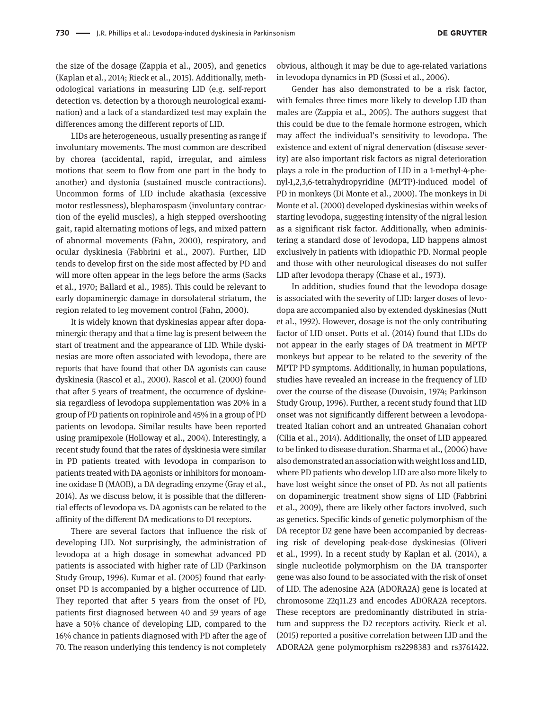the size of the dosage (Zappia et al., 2005), and genetics (Kaplan et al., 2014; Rieck et al., 2015). Additionally, methodological variations in measuring LID (e.g. self-report detection vs. detection by a thorough neurological examination) and a lack of a standardized test may explain the differences among the different reports of LID.

LIDs are heterogeneous, usually presenting as range if involuntary movements. The most common are described by chorea (accidental, rapid, irregular, and aimless motions that seem to flow from one part in the body to another) and dystonia (sustained muscle contractions). Uncommon forms of LID include akathasia (excessive motor restlessness), blepharospasm (involuntary contraction of the eyelid muscles), a high stepped overshooting gait, rapid alternating motions of legs, and mixed pattern of abnormal movements (Fahn, 2000), respiratory, and ocular dyskinesia (Fabbrini et al., 2007). Further, LID tends to develop first on the side most affected by PD and will more often appear in the legs before the arms (Sacks et al., 1970; Ballard et al., 1985). This could be relevant to early dopaminergic damage in dorsolateral striatum, the region related to leg movement control (Fahn, 2000).

It is widely known that dyskinesias appear after dopaminergic therapy and that a time lag is present between the start of treatment and the appearance of LID. While dyskinesias are more often associated with levodopa, there are reports that have found that other DA agonists can cause dyskinesia (Rascol et al., 2000). Rascol et al. (2000) found that after 5 years of treatment, the occurrence of dyskinesia regardless of levodopa supplementation was 20% in a group of PD patients on ropinirole and 45% in a group of PD patients on levodopa. Similar results have been reported using pramipexole (Holloway et al., 2004). Interestingly, a recent study found that the rates of dyskinesia were similar in PD patients treated with levodopa in comparison to patients treated with DA agonists or inhibitors for monoamine oxidase B (MAOB), a DA degrading enzyme (Gray et al., 2014). As we discuss below, it is possible that the differential effects of levodopa vs. DA agonists can be related to the affinity of the different DA medications to D1 receptors.

There are several factors that influence the risk of developing LID. Not surprisingly, the administration of levodopa at a high dosage in somewhat advanced PD patients is associated with higher rate of LID (Parkinson Study Group, 1996). Kumar et al. (2005) found that earlyonset PD is accompanied by a higher occurrence of LID. They reported that after 5 years from the onset of PD, patients first diagnosed between 40 and 59 years of age have a 50% chance of developing LID, compared to the 16% chance in patients diagnosed with PD after the age of 70. The reason underlying this tendency is not completely

obvious, although it may be due to age-related variations in levodopa dynamics in PD (Sossi et al., 2006).

Gender has also demonstrated to be a risk factor, with females three times more likely to develop LID than males are (Zappia et al., 2005). The authors suggest that this could be due to the female hormone estrogen, which may affect the individual's sensitivity to levodopa. The existence and extent of nigral denervation (disease severity) are also important risk factors as nigral deterioration plays a role in the production of LID in a 1-methyl-4-phenyl-1,2,3,6-tetrahydropyridine (MPTP)-induced model of PD in monkeys (Di Monte et al., 2000). The monkeys in Di Monte et al. (2000) developed dyskinesias within weeks of starting levodopa, suggesting intensity of the nigral lesion as a significant risk factor. Additionally, when administering a standard dose of levodopa, LID happens almost exclusively in patients with idiopathic PD. Normal people and those with other neurological diseases do not suffer LID after levodopa therapy (Chase et al., 1973).

In addition, studies found that the levodopa dosage is associated with the severity of LID: larger doses of levodopa are accompanied also by extended dyskinesias (Nutt et al., 1992). However, dosage is not the only contributing factor of LID onset. Potts et al. (2014) found that LIDs do not appear in the early stages of DA treatment in MPTP monkeys but appear to be related to the severity of the MPTP PD symptoms. Additionally, in human populations, studies have revealed an increase in the frequency of LID over the course of the disease (Duvoisin, 1974; Parkinson Study Group, 1996). Further, a recent study found that LID onset was not significantly different between a levodopatreated Italian cohort and an untreated Ghanaian cohort (Cilia et al., 2014). Additionally, the onset of LID appeared to be linked to disease duration. Sharma et al., (2006) have also demonstrated an association with weight loss and LID, where PD patients who develop LID are also more likely to have lost weight since the onset of PD. As not all patients on dopaminergic treatment show signs of LID (Fabbrini et al., 2009), there are likely other factors involved, such as genetics. Specific kinds of genetic polymorphism of the DA receptor D2 gene have been accompanied by decreasing risk of developing peak-dose dyskinesias (Oliveri et al., 1999). In a recent study by Kaplan et al. (2014), a single nucleotide polymorphism on the DA transporter gene was also found to be associated with the risk of onset of LID. The adenosine A2A (ADORA2A) gene is located at chromosome 22q11.23 and encodes ADORA2A receptors. These receptors are predominantly distributed in striatum and suppress the D2 receptors activity. Rieck et al. (2015) reported a positive correlation between LID and the ADORA2A gene polymorphism rs2298383 and rs3761422.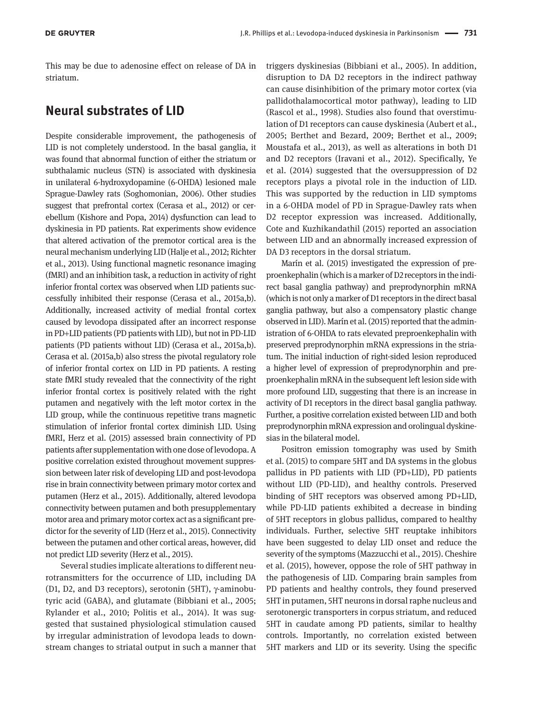This may be due to adenosine effect on release of DA in striatum.

### **Neural substrates of LID**

Despite considerable improvement, the pathogenesis of LID is not completely understood. In the basal ganglia, it was found that abnormal function of either the striatum or subthalamic nucleus (STN) is associated with dyskinesia in unilateral 6-hydroxydopamine (6-OHDA) lesioned male Sprague-Dawley rats (Soghomonian, 2006). Other studies suggest that prefrontal cortex (Cerasa et al., 2012) or cerebellum (Kishore and Popa, 2014) dysfunction can lead to dyskinesia in PD patients. Rat experiments show evidence that altered activation of the premotor cortical area is the neural mechanism underlying LID (Halje et al., 2012; Richter et al., 2013). Using functional magnetic resonance imaging (fMRI) and an inhibition task, a reduction in activity of right inferior frontal cortex was observed when LID patients successfully inhibited their response (Cerasa et al., 2015a,b). Additionally, increased activity of medial frontal cortex caused by levodopa dissipated after an incorrect response in PD+LID patients (PD patients with LID), but not in PD-LID patients (PD patients without LID) (Cerasa et al., 2015a,b). Cerasa et al. (2015a,b) also stress the pivotal regulatory role of inferior frontal cortex on LID in PD patients. A resting state fMRI study revealed that the connectivity of the right inferior frontal cortex is positively related with the right putamen and negatively with the left motor cortex in the LID group, while the continuous repetitive trans magnetic stimulation of inferior frontal cortex diminish LID. Using fMRI, Herz et al. (2015) assessed brain connectivity of PD patients after supplementation with one dose of levodopa. A positive correlation existed throughout movement suppression between later risk of developing LID and post-levodopa rise in brain connectivity between primary motor cortex and putamen (Herz et al., 2015). Additionally, altered levodopa connectivity between putamen and both presupplementary motor area and primary motor cortex act as a significant predictor for the severity of LID (Herz et al., 2015). Connectivity between the putamen and other cortical areas, however, did not predict LID severity (Herz et al., 2015).

Several studies implicate alterations to different neurotransmitters for the occurrence of LID, including DA (D1, D2, and D3 receptors), serotonin (5HT),  $\gamma$ -aminobutyric acid (GABA), and glutamate (Bibbiani et al., 2005; Rylander et al., 2010; Politis et al., 2014). It was suggested that sustained physiological stimulation caused by irregular administration of levodopa leads to downstream changes to striatal output in such a manner that triggers dyskinesias (Bibbiani et al., 2005). In addition, disruption to DA D2 receptors in the indirect pathway can cause disinhibition of the primary motor cortex (via pallidothalamocortical motor pathway), leading to LID (Rascol et al., 1998). Studies also found that overstimulation of D1 receptors can cause dyskinesia (Aubert et al., 2005; Berthet and Bezard, 2009; Berthet et al., 2009; Moustafa et al., 2013), as well as alterations in both D1 and D2 receptors (Iravani et al., 2012). Specifically, Ye et al. (2014) suggested that the oversuppression of D2 receptors plays a pivotal role in the induction of LID. This was supported by the reduction in LID symptoms in a 6-OHDA model of PD in Sprague-Dawley rats when D2 receptor expression was increased. Additionally, Cote and Kuzhikandathil (2015) reported an association between LID and an abnormally increased expression of DA D3 receptors in the dorsal striatum.

Marín et al. (2015) investigated the expression of preproenkephalin (which is a marker of D2 receptors in the indirect basal ganglia pathway) and preprodynorphin mRNA (which is not only a marker of D1 receptors in the direct basal ganglia pathway, but also a compensatory plastic change observed in LID). Marín et al. (2015) reported that the administration of 6-OHDA to rats elevated preproenkephalin with preserved preprodynorphin mRNA expressions in the striatum. The initial induction of right-sided lesion reproduced a higher level of expression of preprodynorphin and preproenkephalin mRNA in the subsequent left lesion side with more profound LID, suggesting that there is an increase in activity of D1 receptors in the direct basal ganglia pathway. Further, a positive correlation existed between LID and both preprodynorphin mRNA expression and orolingual dyskinesias in the bilateral model.

Positron emission tomography was used by Smith et al. (2015) to compare 5HT and DA systems in the globus pallidus in PD patients with LID (PD+LID), PD patients without LID (PD-LID), and healthy controls. Preserved binding of 5HT receptors was observed among PD+LID, while PD-LID patients exhibited a decrease in binding of 5HT receptors in globus pallidus, compared to healthy individuals. Further, selective 5HT reuptake inhibitors have been suggested to delay LID onset and reduce the severity of the symptoms (Mazzucchi et al., 2015). Cheshire et al. (2015), however, oppose the role of 5HT pathway in the pathogenesis of LID. Comparing brain samples from PD patients and healthy controls, they found preserved 5HT in putamen, 5HT neurons in dorsal raphe nucleus and serotonergic transporters in corpus striatum, and reduced 5HT in caudate among PD patients, similar to healthy controls. Importantly, no correlation existed between 5HT markers and LID or its severity. Using the specific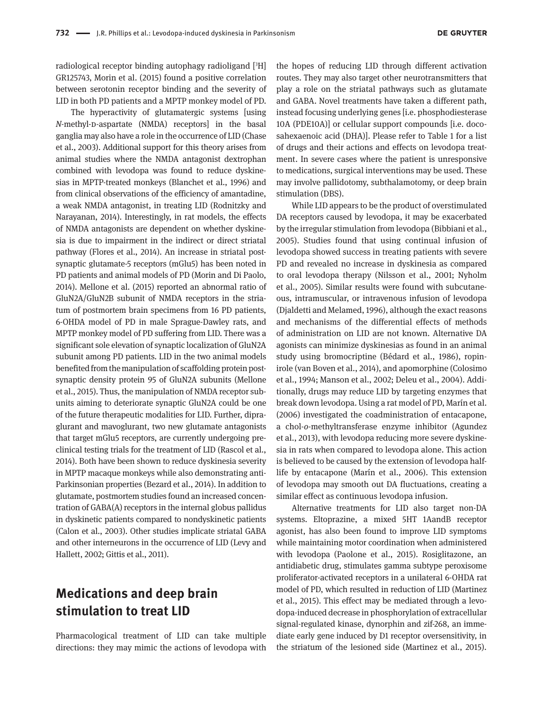radiological receptor binding autophagy radioligand [3 H] GR125743, Morin et al. (2015) found a positive correlation between serotonin receptor binding and the severity of LID in both PD patients and a MPTP monkey model of PD.

The hyperactivity of glutamatergic systems [using *N*-methyl-p-aspartate (NMDA) receptors] in the basal ganglia may also have a role in the occurrence of LID (Chase et al., 2003). Additional support for this theory arises from animal studies where the NMDA antagonist dextrophan combined with levodopa was found to reduce dyskinesias in MPTP-treated monkeys (Blanchet et al., 1996) and from clinical observations of the efficiency of amantadine, a weak NMDA antagonist, in treating LID (Rodnitzky and Narayanan, 2014). Interestingly, in rat models, the effects of NMDA antagonists are dependent on whether dyskinesia is due to impairment in the indirect or direct striatal pathway (Flores et al., 2014). An increase in striatal postsynaptic glutamate-5 receptors (mGlu5) has been noted in PD patients and animal models of PD (Morin and Di Paolo, 2014). Mellone et al. (2015) reported an abnormal ratio of GluN2A/GluN2B subunit of NMDA receptors in the striatum of postmortem brain specimens from 16 PD patients, 6-OHDA model of PD in male Sprague-Dawley rats, and MPTP monkey model of PD suffering from LID. There was a significant sole elevation of synaptic localization of GluN2A subunit among PD patients. LID in the two animal models benefited from the manipulation of scaffolding protein postsynaptic density protein 95 of GluN2A subunits (Mellone et al., 2015). Thus, the manipulation of NMDA receptor subunits aiming to deteriorate synaptic GluN2A could be one of the future therapeutic modalities for LID. Further, dipraglurant and mavoglurant, two new glutamate antagonists that target mGlu5 receptors, are currently undergoing preclinical testing trials for the treatment of LID (Rascol et al., 2014). Both have been shown to reduce dyskinesia severity in MPTP macaque monkeys while also demonstrating anti-Parkinsonian properties (Bezard et al., 2014). In addition to glutamate, postmortem studies found an increased concentration of GABA(A) receptors in the internal globus pallidus in dyskinetic patients compared to nondyskinetic patients (Calon et al., 2003). Other studies implicate striatal GABA and other interneurons in the occurrence of LID (Levy and Hallett, 2002; Gittis et al., 2011).

# **Medications and deep brain stimulation to treat LID**

Pharmacological treatment of LID can take multiple directions: they may mimic the actions of levodopa with

the hopes of reducing LID through different activation routes. They may also target other neurotransmitters that play a role on the striatal pathways such as glutamate and GABA. Novel treatments have taken a different path, instead focusing underlying genes [i.e. phosphodiesterase 10A (PDE10A)] or cellular support compounds [i.e. docosahexaenoic acid (DHA)]. Please refer to Table 1 for a list of drugs and their actions and effects on levodopa treatment. In severe cases where the patient is unresponsive to medications, surgical interventions may be used. These may involve pallidotomy, subthalamotomy, or deep brain stimulation (DBS).

While LID appears to be the product of overstimulated DA receptors caused by levodopa, it may be exacerbated by the irregular stimulation from levodopa (Bibbiani et al., 2005). Studies found that using continual infusion of levodopa showed success in treating patients with severe PD and revealed no increase in dyskinesia as compared to oral levodopa therapy (Nilsson et al., 2001; Nyholm et al., 2005). Similar results were found with subcutaneous, intramuscular, or intravenous infusion of levodopa (Djaldetti and Melamed, 1996), although the exact reasons and mechanisms of the differential effects of methods of administration on LID are not known. Alternative DA agonists can minimize dyskinesias as found in an animal study using bromocriptine (Bédard et al., 1986), ropinirole (van Boven et al., 2014), and apomorphine (Colosimo et al., 1994; Manson et al., 2002; Deleu et al., 2004). Additionally, drugs may reduce LID by targeting enzymes that break down levodopa. Using a rat model of PD, Marín et al. (2006) investigated the coadministration of entacapone, a chol-*o*-methyltransferase enzyme inhibitor (Agundez et al., 2013), with levodopa reducing more severe dyskinesia in rats when compared to levodopa alone. This action is believed to be caused by the extension of levodopa halflife by entacapone (Marín et al., 2006). This extension of levodopa may smooth out DA fluctuations, creating a similar effect as continuous levodopa infusion.

Alternative treatments for LID also target non-DA systems. Eltoprazine, a mixed 5HT 1AandB receptor agonist, has also been found to improve LID symptoms while maintaining motor coordination when administered with levodopa (Paolone et al., 2015). Rosiglitazone, an antidiabetic drug, stimulates gamma subtype peroxisome proliferator-activated receptors in a unilateral 6-OHDA rat model of PD, which resulted in reduction of LID (Martinez et al., 2015). This effect may be mediated through a levodopa-induced decrease in phosphorylation of extracellular signal-regulated kinase, dynorphin and zif-268, an immediate early gene induced by D1 receptor oversensitivity, in the striatum of the lesioned side (Martinez et al., 2015).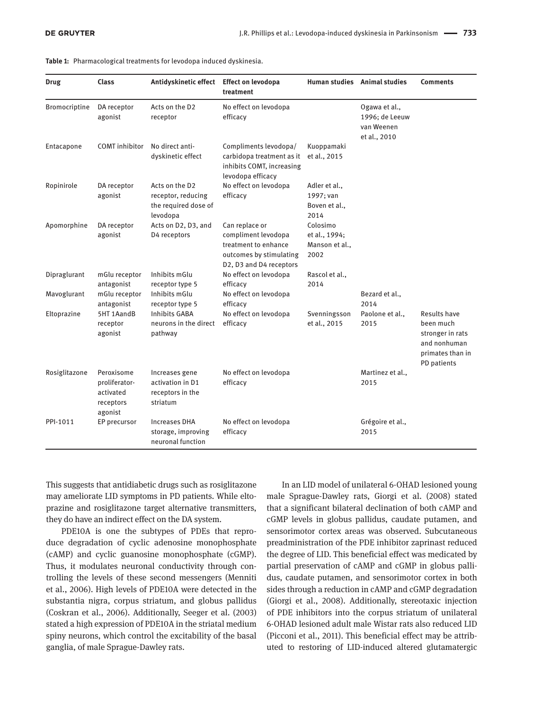**Table 1:** Pharmacological treatments for levodopa induced dyskinesia.

| Drug          | Class                                                            | Antidyskinetic effect                                                    | <b>Effect on levodopa</b><br>treatment                                                                              |                                                     | Human studies Animal studies                                  | <b>Comments</b>                                                                                  |
|---------------|------------------------------------------------------------------|--------------------------------------------------------------------------|---------------------------------------------------------------------------------------------------------------------|-----------------------------------------------------|---------------------------------------------------------------|--------------------------------------------------------------------------------------------------|
| Bromocriptine | DA receptor<br>agonist                                           | Acts on the D2<br>receptor                                               | No effect on levodopa<br>efficacy                                                                                   |                                                     | Ogawa et al.,<br>1996; de Leeuw<br>van Weenen<br>et al., 2010 |                                                                                                  |
| Entacapone    | <b>COMT</b> inhibitor                                            | No direct anti-<br>dyskinetic effect                                     | Compliments levodopa/<br>carbidopa treatment as it<br>inhibits COMT, increasing<br>levodopa efficacy                | Kuoppamaki<br>et al., 2015                          |                                                               |                                                                                                  |
| Ropinirole    | DA receptor<br>agonist                                           | Acts on the D2<br>receptor, reducing<br>the required dose of<br>levodopa | No effect on levodopa<br>efficacy                                                                                   | Adler et al.,<br>1997; van<br>Boven et al.,<br>2014 |                                                               |                                                                                                  |
| Apomorphine   | DA receptor<br>agonist                                           | Acts on D2, D3, and<br>D4 receptors                                      | Can replace or<br>compliment levodopa<br>treatment to enhance<br>outcomes by stimulating<br>D2, D3 and D4 receptors | Colosimo<br>et al., 1994;<br>Manson et al.,<br>2002 |                                                               |                                                                                                  |
| Dipraglurant  | mGlu receptor<br>antagonist                                      | Inhibits mGlu<br>receptor type 5                                         | No effect on levodopa<br>efficacy                                                                                   | Rascol et al.,<br>2014                              |                                                               |                                                                                                  |
| Mavoglurant   | mGlu receptor<br>antagonist                                      | Inhibits mGlu<br>receptor type 5                                         | No effect on levodopa<br>efficacy                                                                                   |                                                     | Bezard et al.,<br>2014                                        |                                                                                                  |
| Eltoprazine   | 5HT 1AandB<br>receptor<br>agonist                                | <b>Inhibits GABA</b><br>neurons in the direct<br>pathway                 | No effect on levodopa<br>efficacy                                                                                   | Svenningsson<br>et al., 2015                        | Paolone et al.,<br>2015                                       | Results have<br>been much<br>stronger in rats<br>and nonhuman<br>primates than in<br>PD patients |
| Rosiglitazone | Peroxisome<br>proliferator-<br>activated<br>receptors<br>agonist | Increases gene<br>activation in D1<br>receptors in the<br>striatum       | No effect on levodopa<br>efficacy                                                                                   |                                                     | Martinez et al.,<br>2015                                      |                                                                                                  |
| PPI-1011      | EP precursor                                                     | <b>Increases DHA</b><br>storage, improving<br>neuronal function          | No effect on levodopa<br>efficacy                                                                                   |                                                     | Grégoire et al.,<br>2015                                      |                                                                                                  |

This suggests that antidiabetic drugs such as rosiglitazone may ameliorate LID symptoms in PD patients. While eltoprazine and rosiglitazone target alternative transmitters, they do have an indirect effect on the DA system.

PDE10A is one the subtypes of PDEs that reproduce degradation of cyclic adenosine monophosphate (cAMP) and cyclic guanosine monophosphate (cGMP). Thus, it modulates neuronal conductivity through controlling the levels of these second messengers (Menniti et al., 2006). High levels of PDE10A were detected in the substantia nigra, corpus striatum, and globus pallidus (Coskran et al., 2006). Additionally, Seeger et al. (2003) stated a high expression of PDE10A in the striatal medium spiny neurons, which control the excitability of the basal ganglia, of male Sprague-Dawley rats.

In an LID model of unilateral 6-OHAD lesioned young male Sprague-Dawley rats, Giorgi et al. (2008) stated that a significant bilateral declination of both cAMP and cGMP levels in globus pallidus, caudate putamen, and sensorimotor cortex areas was observed. Subcutaneous preadministration of the PDE inhibitor zaprinast reduced the degree of LID. This beneficial effect was medicated by partial preservation of cAMP and cGMP in globus pallidus, caudate putamen, and sensorimotor cortex in both sides through a reduction in cAMP and cGMP degradation (Giorgi et al., 2008). Additionally, stereotaxic injection of PDE inhibitors into the corpus striatum of unilateral 6-OHAD lesioned adult male Wistar rats also reduced LID (Picconi et al., 2011). This beneficial effect may be attributed to restoring of LID-induced altered glutamatergic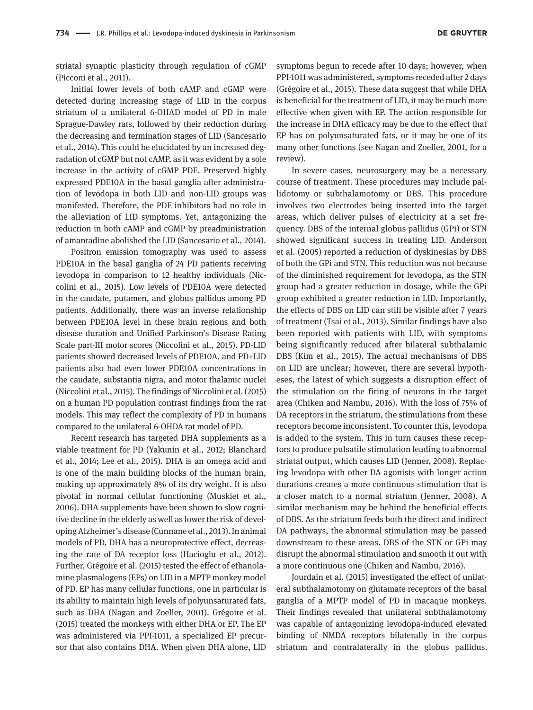striatal synaptic plasticity through regulation of cGMP (Picconi et al., 2011).

Initial lower levels of both cAMP and cGMP were detected during increasing stage of LID in the corpus striatum of a unilateral 6-OHAD model of PD in male Sprague-Dawley rats, followed by their reduction during the decreasing and termination stages of LID (Sancesario et al., 2014). This could be elucidated by an increased degradation of cGMP but not cAMP, as it was evident by a sole increase in the activity of cGMP PDE. Preserved highly expressed PDE10A in the basal ganglia after administration of levodopa in both LID and non-LID groups was manifested. Therefore, the PDE inhibitors had no role in the alleviation of LID symptoms. Yet, antagonizing the reduction in both cAMP and cGMP by preadministration of amantadine abolished the LID (Sancesario et al., 2014).

Positron emission tomography was used to assess PDE10A in the basal ganglia of 24 PD patients receiving levodopa in comparison to 12 healthy individuals (Niccolini et al., 2015). Low levels of PDE10A were detected in the caudate, putamen, and globus pallidus among PD patients. Additionally, there was an inverse relationship between PDE10A level in these brain regions and both disease duration and Unified Parkinson's Disease Rating Scale part-III motor scores (Niccolini et al., 2015). PD-LID patients showed decreased levels of PDE10A, and PD+LID patients also had even lower PDE10A concentrations in the caudate, substantia nigra, and motor thalamic nuclei (Niccolini et al., 2015). The findings of Niccolini et al. (2015) on a human PD population contrast findings from the rat models. This may reflect the complexity of PD in humans compared to the unilateral 6-OHDA rat model of PD.

Recent research has targeted DHA supplements as a viable treatment for PD (Yakunin et al., 2012; Blanchard et al., 2014; Lee et al., 2015). DHA is an omega acid and is one of the main building blocks of the human brain, making up approximately 8% of its dry weight. It is also pivotal in normal cellular functioning (Muskiet et al., 2006). DHA supplements have been shown to slow cognitive decline in the elderly as well as lower the risk of developing Alzheimer's disease (Cunnane et al., 2013). In animal models of PD, DHA has a neuroprotective effect, decreasing the rate of DA receptor loss (Hacioglu et al., 2012). Further, Grégoire et al. (2015) tested the effect of ethanolamine plasmalogens (EPs) on LID in a MPTP monkey model of PD. EP has many cellular functions, one in particular is its ability to maintain high levels of polyunsaturated fats, such as DHA (Nagan and Zoeller, 2001). Grégoire et al. (2015) treated the monkeys with either DHA or EP. The EP was administered via PPI-1011, a specialized EP precursor that also contains DHA. When given DHA alone, LID symptoms begun to recede after 10 days; however, when PPI-1011 was administered, symptoms receded after 2 days (Grégoire et al., 2015). These data suggest that while DHA is beneficial for the treatment of LID, it may be much more effective when given with EP. The action responsible for the increase in DHA efficacy may be due to the effect that EP has on polyunsaturated fats, or it may be one of its many other functions (see Nagan and Zoeller, 2001, for a review).

In severe cases, neurosurgery may be a necessary course of treatment. These procedures may include pallidotomy or subthalamotomy or DBS. This procedure involves two electrodes being inserted into the target areas, which deliver pulses of electricity at a set frequency. DBS of the internal globus pallidus (GPi) or STN showed significant success in treating LID. Anderson et al. (2005) reported a reduction of dyskinesias by DBS of both the GPi and STN. This reduction was not because of the diminished requirement for levodopa, as the STN group had a greater reduction in dosage, while the GPi group exhibited a greater reduction in LID. Importantly, the effects of DBS on LID can still be visible after 7 years of treatment (Tsai et al., 2013). Similar findings have also been reported with patients with LID, with symptoms being significantly reduced after bilateral subthalamic DBS (Kim et al., 2015). The actual mechanisms of DBS on LID are unclear; however, there are several hypotheses, the latest of which suggests a disruption effect of the stimulation on the firing of neurons in the target area (Chiken and Nambu, 2016). With the loss of 75% of DA receptors in the striatum, the stimulations from these receptors become inconsistent. To counter this, levodopa is added to the system. This in turn causes these receptors to produce pulsatile stimulation leading to abnormal striatal output, which causes LID (Jenner, 2008). Replacing levodopa with other DA agonists with longer action durations creates a more continuous stimulation that is a closer match to a normal striatum (Jenner, 2008). A similar mechanism may be behind the beneficial effects of DBS. As the striatum feeds both the direct and indirect DA pathways, the abnormal stimulation may be passed downstream to these areas. DBS of the STN or GPi may disrupt the abnormal stimulation and smooth it out with a more continuous one (Chiken and Nambu, 2016).

Jourdain et al. (2015) investigated the effect of unilateral subthalamotomy on glutamate receptors of the basal ganglia of a MPTP model of PD in macaque monkeys. Their findings revealed that unilateral subthalamotomy was capable of antagonizing levodopa-induced elevated binding of NMDA receptors bilaterally in the corpus striatum and contralaterally in the globus pallidus.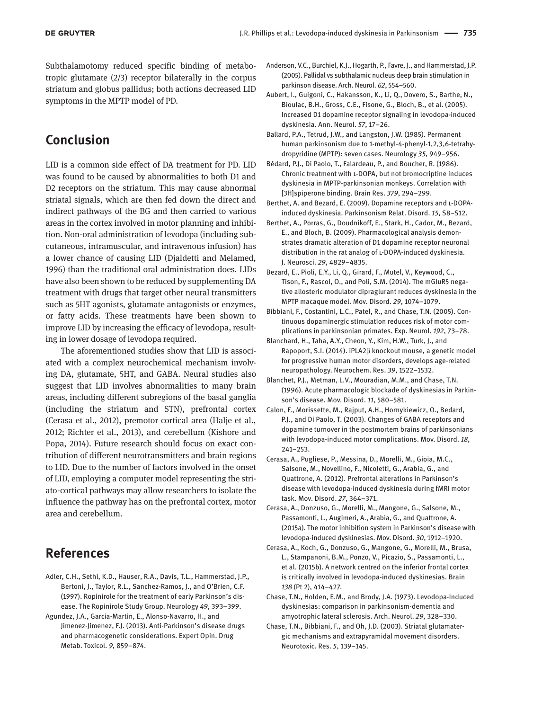Subthalamotomy reduced specific binding of metabotropic glutamate (2/3) receptor bilaterally in the corpus striatum and globus pallidus; both actions decreased LID symptoms in the MPTP model of PD.

# **Conclusion**

LID is a common side effect of DA treatment for PD. LID was found to be caused by abnormalities to both D1 and D2 receptors on the striatum. This may cause abnormal striatal signals, which are then fed down the direct and indirect pathways of the BG and then carried to various areas in the cortex involved in motor planning and inhibition. Non-oral administration of levodopa (including subcutaneous, intramuscular, and intravenous infusion) has a lower chance of causing LID (Djaldetti and Melamed, 1996) than the traditional oral administration does. LIDs have also been shown to be reduced by supplementing DA treatment with drugs that target other neural transmitters such as 5HT agonists, glutamate antagonists or enzymes, or fatty acids. These treatments have been shown to improve LID by increasing the efficacy of levodopa, resulting in lower dosage of levodopa required.

The aforementioned studies show that LID is associated with a complex neurochemical mechanism involving DA, glutamate, 5HT, and GABA. Neural studies also suggest that LID involves abnormalities to many brain areas, including different subregions of the basal ganglia (including the striatum and STN), prefrontal cortex (Cerasa et al., 2012), premotor cortical area (Halje et al., 2012; Richter et al., 2013), and cerebellum (Kishore and Popa, 2014). Future research should focus on exact contribution of different neurotransmitters and brain regions to LID. Due to the number of factors involved in the onset of LID, employing a computer model representing the striato-cortical pathways may allow researchers to isolate the influence the pathway has on the prefrontal cortex, motor area and cerebellum.

## **References**

- Adler, C.H., Sethi, K.D., Hauser, R.A., Davis, T.L., Hammerstad, J.P., Bertoni, J., Taylor, R.L., Sanchez-Ramos, J., and O'Brien, C.F. (1997). Ropinirole for the treatment of early Parkinson's disease. The Ropinirole Study Group. Neurology *49*, 393–399.
- Agundez, J.A., Garcia-Martin, E., Alonso-Navarro, H., and Jimenez-Jimenez, F.J. (2013). Anti-Parkinson's disease drugs and pharmacogenetic considerations. Expert Opin. Drug Metab. Toxicol. *9*, 859–874.
- Anderson, V.C., Burchiel, K.J., Hogarth, P., Favre, J., and Hammerstad, J.P. (2005). Pallidal vs subthalamic nucleus deep brain stimulation in parkinson disease. Arch. Neurol. *62*, 554–560.
- Aubert, I., Guigoni, C., Hakansson, K., Li, Q., Dovero, S., Barthe, N., Bioulac, B.H., Gross, C.E., Fisone, G., Bloch, B., et al. (2005). Increased D1 dopamine receptor signaling in levodopa-induced dyskinesia. Ann. Neurol. *57*, 17–26.
- Ballard, P.A., Tetrud, J.W., and Langston, J.W. (1985). Permanent human parkinsonism due to 1-methyl-4-phenyl-1,2,3,6-tetrahydropyridine (MPTP): seven cases. Neurology *35*, 949–956.
- Bédard, P.J., Di Paolo, T., Falardeau, P., and Boucher, R. (1986). Chronic treatment with l-DOPA, but not bromocriptine induces dyskinesia in MPTP-parkinsonian monkeys. Correlation with [3H]spiperone binding. Brain Res. *379*, 294–299.
- Berthet, A. and Bezard, E. (2009). Dopamine receptors and l-DOPAinduced dyskinesia. Parkinsonism Relat. Disord. *15*, S8–S12.
- Berthet, A., Porras, G., Doudnikoff, E., Stark, H., Cador, M., Bezard, E., and Bloch, B. (2009). Pharmacological analysis demonstrates dramatic alteration of D1 dopamine receptor neuronal distribution in the rat analog of l-DOPA-induced dyskinesia. J. Neurosci. *29*, 4829–4835.
- Bezard, E., Pioli, E.Y., Li, Q., Girard, F., Mutel, V., Keywood, C., Tison, F., Rascol, O., and Poli, S.M. (2014). The mGluR5 negative allosteric modulator dipraglurant reduces dyskinesia in the MPTP macaque model. Mov. Disord. *29*, 1074–1079.
- Bibbiani, F., Costantini, L.C., Patel, R., and Chase, T.N. (2005). Continuous dopaminergic stimulation reduces risk of motor complications in parkinsonian primates. Exp. Neurol. *192*, 73–78.
- Blanchard, H., Taha, A.Y., Cheon, Y., Kim, H.W., Turk, J., and Rapoport, S.I. (2014). iPLA2β knockout mouse, a genetic model for progressive human motor disorders, develops age-related neuropathology. Neurochem. Res. *39*, 1522–1532.
- Blanchet, P.J., Metman, L.V., Mouradian, M.M., and Chase, T.N. (1996). Acute pharmacologic blockade of dyskinesias in Parkinson's disease. Mov. Disord. *11*, 580–581.
- Calon, F., Morissette, M., Rajput, A.H., Hornykiewicz, O., Bedard, P.J., and Di Paolo, T. (2003). Changes of GABA receptors and dopamine turnover in the postmortem brains of parkinsonians with levodopa-induced motor complications. Mov. Disord. *18*, 241–253.
- Cerasa, A., Pugliese, P., Messina, D., Morelli, M., Gioia, M.C., Salsone, M., Novellino, F., Nicoletti, G., Arabia, G., and Quattrone, A. (2012). Prefrontal alterations in Parkinson's disease with levodopa-induced dyskinesia during fMRI motor task. Mov. Disord. *27*, 364–371.
- Cerasa, A., Donzuso, G., Morelli, M., Mangone, G., Salsone, M., Passamonti, L., Augimeri, A., Arabia, G., and Quattrone, A. (2015a). The motor inhibition system in Parkinson's disease with levodopa-induced dyskinesias. Mov. Disord. *30*, 1912–1920.
- Cerasa, A., Koch, G., Donzuso, G., Mangone, G., Morelli, M., Brusa, L., Stampanoni, B.M., Ponzo, V., Picazio, S., Passamonti, L., et al. (2015b). A network centred on the inferior frontal cortex is critically involved in levodopa-induced dyskinesias. Brain *138* (Pt 2), 414–427.
- Chase, T.N., Holden, E.M., and Brody, J.A. (1973). Levodopa-Induced dyskinesias: comparison in parkinsonism-dementia and amyotrophic lateral sclerosis. Arch. Neurol. *29*, 328–330.
- Chase, T.N., Bibbiani, F., and Oh, J.D. (2003). Striatal glutamatergic mechanisms and extrapyramidal movement disorders. Neurotoxic. Res. *5*, 139–145.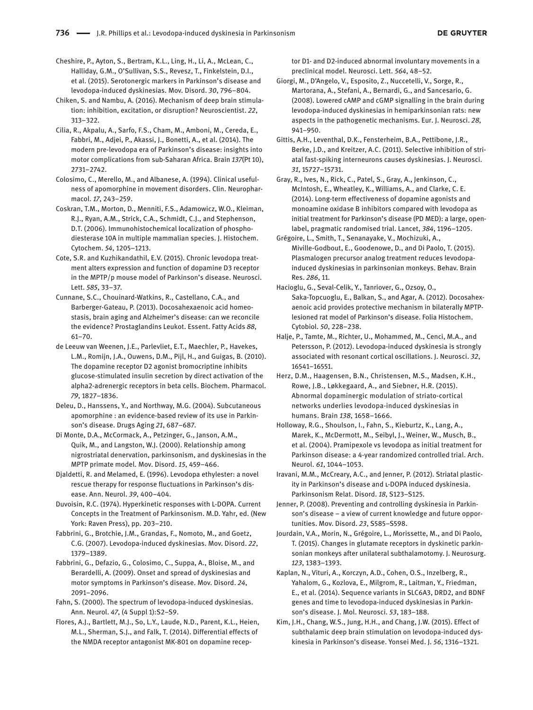Cheshire, P., Ayton, S., Bertram, K.L., Ling, H., Li, A., McLean, C., Halliday, G.M., O'Sullivan, S.S., Revesz, T., Finkelstein, D.I., et al. (2015). Serotonergic markers in Parkinson's disease and levodopa-induced dyskinesias. Mov. Disord. *30*, 796–804.

Chiken, S. and Nambu, A. (2016). Mechanism of deep brain stimulation: inhibition, excitation, or disruption? Neuroscientist. *22*, 313–322.

Cilia, R., Akpalu, A., Sarfo, F.S., Cham, M., Amboni, M., Cereda, E., Fabbri, M., Adjei, P., Akassi, J., Bonetti, A., et al. (2014). The modern pre-levodopa era of Parkinson's disease: insights into motor complications from sub-Saharan Africa. Brain *137*(Pt 10), 2731–2742.

Colosimo, C., Merello, M., and Albanese, A. (1994). Clinical usefulness of apomorphine in movement disorders. Clin. Neuropharmacol. *17*, 243–259.

Coskran, T.M., Morton, D., Menniti, F.S., Adamowicz, W.O., Kleiman, R.J., Ryan, A.M., Strick, C.A., Schmidt, C.J., and Stephenson, D.T. (2006). Immunohistochemical localization of phosphodiesterase 10A in multiple mammalian species. J. Histochem. Cytochem. *54*, 1205–1213.

Cote, S.R. and Kuzhikandathil, E.V. (2015). Chronic levodopa treatment alters expression and function of dopamine D3 receptor in the MPTP/p mouse model of Parkinson's disease. Neurosci. Lett. *585*, 33–37.

Cunnane, S.C., Chouinard-Watkins, R., Castellano, C.A., and Barberger-Gateau, P. (2013). Docosahexaenoic acid homeostasis, brain aging and Alzheimer's disease: can we reconcile the evidence? Prostaglandins Leukot. Essent. Fatty Acids *88*, 61–70.

de Leeuw van Weenen, J.E., Parlevliet, E.T., Maechler, P., Havekes, L.M., Romijn, J.A., Ouwens, D.M., Pijl, H., and Guigas, B. (2010). The dopamine receptor D2 agonist bromocriptine inhibits glucose-stimulated insulin secretion by direct activation of the alpha2-adrenergic receptors in beta cells. Biochem. Pharmacol. *79*, 1827–1836.

Deleu, D., Hanssens, Y., and Northway, M.G. (2004). Subcutaneous apomorphine : an evidence-based review of its use in Parkinson's disease. Drugs Aging *21*, 687–687.

Di Monte, D.A., McCormack, A., Petzinger, G., Janson, A.M., Quik, M., and Langston, W.J. (2000). Relationship among nigrostriatal denervation, parkinsonism, and dyskinesias in the MPTP primate model. Mov. Disord. *15*, 459–466.

Djaldetti, R. and Melamed, E. (1996). Levodopa ethylester: a novel rescue therapy for response fluctuations in Parkinson's disease. Ann. Neurol. *39*, 400–404.

Duvoisin, R.C. (1974). Hyperkinetic responses with L-DOPA. Current Concepts in the Treatment of Parkinsonism. M.D. Yahr, ed. (New York: Raven Press), pp. 203–210.

Fabbrini, G., Brotchie, J.M., Grandas, F., Nomoto, M., and Goetz, C.G. (2007). Levodopa-induced dyskinesias. Mov. Disord. *22*, 1379–1389.

Fabbrini, G., Defazio, G., Colosimo, C., Suppa, A., Bloise, M., and Berardelli, A. (2009). Onset and spread of dyskinesias and motor symptoms in Parkinson's disease. Mov. Disord. *24*, 2091–2096.

Fahn, S. (2000). The spectrum of levodopa-induced dyskinesias. Ann. Neurol. *47*, (4 Suppl 1):S2–S9.

Flores, A.J., Bartlett, M.J., So, L.Y., Laude, N.D., Parent, K.L., Heien, M.L., Sherman, S.J., and Falk, T. (2014). Differential effects of the NMDA receptor antagonist MK-801 on dopamine receptor D1- and D2-induced abnormal involuntary movements in a preclinical model. Neurosci. Lett. *564*, 48–52.

Giorgi, M., D'Angelo, V., Esposito, Z., Nuccetelli, V., Sorge, R., Martorana, A., Stefani, A., Bernardi, G., and Sancesario, G. (2008). Lowered cAMP and cGMP signalling in the brain during levodopa-induced dyskinesias in hemiparkinsonian rats: new aspects in the pathogenetic mechanisms. Eur. J. Neurosci. *28*, 941–950.

Gittis, A.H., Leventhal, D.K., Fensterheim, B.A., Pettibone, J.R., Berke, J.D., and Kreitzer, A.C. (2011). Selective inhibition of striatal fast-spiking interneurons causes dyskinesias. J. Neurosci. *31*, 15727–15731.

Gray, R., Ives, N., Rick, C., Patel, S., Gray, A., Jenkinson, C., McIntosh, E., Wheatley, K., Williams, A., and Clarke, C. E. (2014). Long-term effectiveness of dopamine agonists and monoamine oxidase B inhibitors compared with levodopa as initial treatment for Parkinson's disease (PD MED): a large, openlabel, pragmatic randomised trial. Lancet, *384*, 1196–1205.

Grégoire, L., Smith, T., Senanayake, V., Mochizuki, A., Miville-Godbout, E., Goodenowe, D., and Di Paolo, T. (2015). Plasmalogen precursor analog treatment reduces levodopainduced dyskinesias in parkinsonian monkeys. Behav. Brain Res. *286*, 11.

Hacioglu, G., Seval-Celik, Y., Tanriover, G., Ozsoy, O., Saka-Topcuoglu, E., Balkan, S., and Agar, A. (2012). Docosahexaenoic acid provides protective mechanism in bilaterally MPTPlesioned rat model of Parkinson's disease. Folia Histochem. Cytobiol. *50*, 228–238.

Halje, P., Tamte, M., Richter, U., Mohammed, M., Cenci, M.A., and Petersson, P. (2012). Levodopa-induced dyskinesia is strongly associated with resonant cortical oscillations. J. Neurosci. *32*, 16541–16551.

Herz, D.M., Haagensen, B.N., Christensen, M.S., Madsen, K.H., Rowe, J.B., Løkkegaard, A., and Siebner, H.R. (2015). Abnormal dopaminergic modulation of striato-cortical networks underlies levodopa-induced dyskinesias in humans. Brain *138*, 1658–1666.

Holloway, R.G., Shoulson, I., Fahn, S., Kieburtz, K., Lang, A., Marek, K., McDermott, M., Seibyl, J., Weiner, W., Musch, B., et al. (2004). Pramipexole vs levodopa as initial treatment for Parkinson disease: a 4-year randomized controlled trial. Arch. Neurol. *61*, 1044–1053.

Iravani, M.M., McCreary, A.C., and Jenner, P. (2012). Striatal plasticity in Parkinson's disease and L-DOPA induced dyskinesia. Parkinsonism Relat. Disord. *18*, S123–S125.

Jenner, P. (2008). Preventing and controlling dyskinesia in Parkinson's disease – a view of current knowledge and future opportunities. Mov. Disord. *23*, S585–S598.

Jourdain, V.A., Morin, N., Grégoire, L., Morissette, M., and Di Paolo, T. (2015). Changes in glutamate receptors in dyskinetic parkinsonian monkeys after unilateral subthalamotomy. J. Neurosurg. *123*, 1383–1393.

Kaplan, N., Vituri, A., Korczyn, A.D., Cohen, O.S., Inzelberg, R., Yahalom, G., Kozlova, E., Milgrom, R., Laitman, Y., Friedman, E., et al. (2014). Sequence variants in SLC6A3, DRD2, and BDNF genes and time to levodopa-induced dyskinesias in Parkinson's disease. J. Mol. Neurosci. *53*, 183–188.

Kim, J.H., Chang, W.S., Jung, H.H., and Chang, J.W. (2015). Effect of subthalamic deep brain stimulation on levodopa-induced dyskinesia in Parkinson's disease. Yonsei Med. J. *56*, 1316–1321.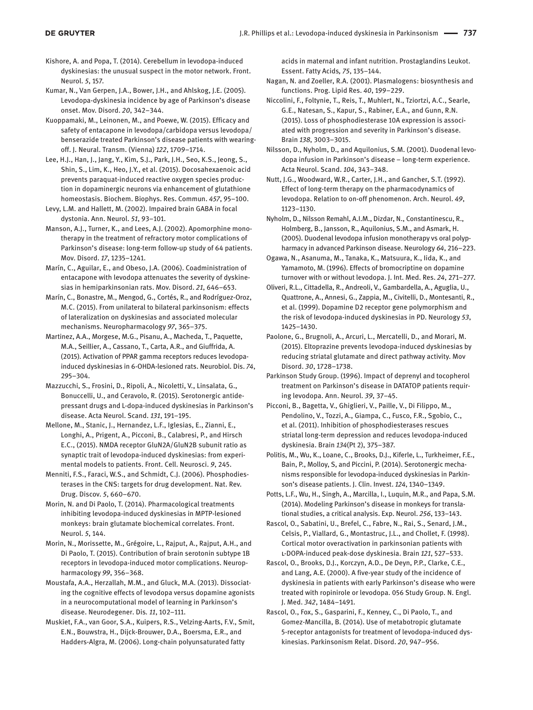- Kishore, A. and Popa, T. (2014). Cerebellum in levodopa-induced dyskinesias: the unusual suspect in the motor network. Front. Neurol. *5*, 157.
- Kumar, N., Van Gerpen, J.A., Bower, J.H., and Ahlskog, J.E. (2005). Levodopa-dyskinesia incidence by age of Parkinson's disease onset. Mov. Disord. *20*, 342–344.
- Kuoppamaki, M., Leinonen, M., and Poewe, W. (2015). Efficacy and safety of entacapone in levodopa/carbidopa versus levodopa/ benserazide treated Parkinson's disease patients with wearingoff. J. Neural. Transm. (Vienna) *122*, 1709–1714.
- Lee, H.J., Han, J., Jang, Y., Kim, S.J., Park, J.H., Seo, K.S., Jeong, S., Shin, S., Lim, K., Heo, J.Y., et al. (2015). Docosahexaenoic acid prevents paraquat-induced reactive oxygen species production in dopaminergic neurons via enhancement of glutathione homeostasis. Biochem. Biophys. Res. Commun. *457*, 95–100.
- Levy, L.M. and Hallett, M. (2002). Impaired brain GABA in focal dystonia. Ann. Neurol. *51*, 93–101.
- Manson, A.J., Turner, K., and Lees, A.J. (2002). Apomorphine monotherapy in the treatment of refractory motor complications of Parkinson's disease: long-term follow-up study of 64 patients. Mov. Disord. *17*, 1235–1241.
- Marín, C., Aguilar, E., and Obeso, J.A. (2006). Coadministration of entacapone with levodopa attenuates the severity of dyskinesias in hemiparkinsonian rats. Mov. Disord. *21*, 646–653.
- Marín, C., Bonastre, M., Mengod, G., Cortés, R., and Rodríguez-Oroz, M.C. (2015). From unilateral to bilateral parkinsonism: effects of lateralization on dyskinesias and associated molecular mechanisms. Neuropharmacology *97*, 365–375.
- Martinez, A.A., Morgese, M.G., Pisanu, A., Macheda, T., Paquette, M.A., Seillier, A., Cassano, T., Carta, A.R., and Giuffrida, A. (2015). Activation of PPAR gamma receptors reduces levodopainduced dyskinesias in 6-OHDA-lesioned rats. Neurobiol. Dis. *74*, 295–304.
- Mazzucchi, S., Frosini, D., Ripoli, A., Nicoletti, V., Linsalata, G., Bonuccelli, U., and Ceravolo, R. (2015). Serotonergic antidepressant drugs and L-dopa-induced dyskinesias in Parkinson's disease. Acta Neurol. Scand. *131*, 191–195.
- Mellone, M., Stanic, J., Hernandez, L.F., Iglesias, E., Zianni, E., Longhi, A., Prigent, A., Picconi, B., Calabresi, P., and Hirsch E.C., (2015). NMDA receptor GluN2A/GluN2B subunit ratio as synaptic trait of levodopa-induced dyskinesias: from experimental models to patients. Front. Cell. Neurosci. *9*, 245.
- Menniti, F.S., Faraci, W.S., and Schmidt, C.J. (2006). Phosphodiesterases in the CNS: targets for drug development. Nat. Rev. Drug. Discov. *5*, 660–670.
- Morin, N. and Di Paolo, T. (2014). Pharmacological treatments inhibiting levodopa-induced dyskinesias in MPTP-lesioned monkeys: brain glutamate biochemical correlates. Front. Neurol. *5*, 144.
- Morin, N., Morissette, M., Grégoire, L., Rajput, A., Rajput, A.H., and Di Paolo, T. (2015). Contribution of brain serotonin subtype 1B receptors in levodopa-induced motor complications. Neuropharmacology *99*, 356–368.
- Moustafa, A.A., Herzallah, M.M., and Gluck, M.A. (2013). Dissociating the cognitive effects of levodopa versus dopamine agonists in a neurocomputational model of learning in Parkinson's disease. Neurodegener. Dis*. 11*, 102–111.
- Muskiet, F.A., van Goor, S.A., Kuipers, R.S., Velzing-Aarts, F.V., Smit, E.N., Bouwstra, H., Dijck-Brouwer, D.A., Boersma, E.R., and Hadders-Algra, M. (2006). Long-chain polyunsaturated fatty

acids in maternal and infant nutrition. Prostaglandins Leukot. Essent. Fatty Acids*, 75*, 135–144.

- Nagan, N. and Zoeller, R.A. (2001). Plasmalogens: biosynthesis and functions. Prog. Lipid Res. *40*, 199–229.
- Niccolini, F., Foltynie, T., Reis, T., Muhlert, N., Tziortzi, A.C., Searle, G.E., Natesan, S., Kapur, S., Rabiner, E.A., and Gunn, R.N. (2015). Loss of phosphodiesterase 10A expression is associated with progression and severity in Parkinson's disease. Brain *138*, 3003–3015.
- Nilsson, D., Nyholm, D., and Aquilonius, S.M. (2001). Duodenal levodopa infusion in Parkinson's disease – long-term experience. Acta Neurol. Scand. *104*, 343–348.
- Nutt, J.G., Woodward, W.R., Carter, J.H., and Gancher, S.T. (1992). Effect of long-term therapy on the pharmacodynamics of levodopa. Relation to on-off phenomenon. Arch. Neurol. *49*, 1123–1130.
- Nyholm, D., Nilsson Remahl, A.I.M., Dizdar, N., Constantinescu, R., Holmberg, B., Jansson, R., Aquilonius, S.M., and Asmark, H. (2005). Duodenal levodopa infusion monotherapy vs oral polypharmacy in advanced Parkinson disease. Neurology *64*, 216–223.
- Ogawa, N., Asanuma, M., Tanaka, K., Matsuura, K., Iida, K., and Yamamoto, M. (1996). Effects of bromocriptine on dopamine turnover with or without levodopa. J. Int. Med. Res. *24*, 271–277.
- Oliveri, R.L., Cittadella, R., Andreoli, V., Gambardella, A., Aguglia, U., Quattrone, A., Annesi, G., Zappia, M., Civitelli, D., Montesanti, R., et al. (1999). Dopamine D2 receptor gene polymorphism and the risk of levodopa-induced dyskinesias in PD. Neurology *53*, 1425–1430.
- Paolone, G., Brugnoli, A., Arcuri, L., Mercatelli, D., and Morari, M. (2015). Eltoprazine prevents levodopa-induced dyskinesias by reducing striatal glutamate and direct pathway activity. Mov Disord. *30*, 1728–1738.
- Parkinson Study Group. (1996). Impact of deprenyl and tocopherol treatment on Parkinson's disease in DATATOP patients requiring levodopa. Ann. Neurol. *39*, 37–45.
- Picconi, B., Bagetta, V., Ghiglieri, V., Paille, V., Di Filippo, M., Pendolino, V., Tozzi, A., Giampa, C., Fusco, F.R., Sgobio, C., et al. (2011). Inhibition of phosphodiesterases rescues striatal long-term depression and reduces levodopa-induced dyskinesia. Brain *134*(Pt 2), 375–387.
- Politis, M., Wu, K., Loane, C., Brooks, D.J., Kiferle, L., Turkheimer, F.E., Bain, P., Molloy, S, and Piccini, P. (2014). Serotonergic mechanisms responsible for levodopa-induced dyskinesias in Parkinson's disease patients. J. Clin. Invest. *124*, 1340–1349.
- Potts, L.F., Wu, H., Singh, A., Marcilla, I., Luquin, M.R., and Papa, S.M. (2014). Modeling Parkinson's disease in monkeys for translational studies, a critical analysis. Exp. Neurol. *256*, 133–143.
- Rascol, O., Sabatini, U., Brefel, C., Fabre, N., Rai, S., Senard, J.M., Celsis, P., Viallard, G., Montastruc, J.L., and Chollet, F. (1998). Cortical motor overactivation in parkinsonian patients with l-DOPA-induced peak-dose dyskinesia. Brain *121*, 527–533.
- Rascol, O., Brooks, D.J., Korczyn, A.D., De Deyn, P.P., Clarke, C.E., and Lang, A.E. (2000). A five-year study of the incidence of dyskinesia in patients with early Parkinson's disease who were treated with ropinirole or levodopa. 056 Study Group. N. Engl. J. Med. *342*, 1484–1491.
- Rascol, O., Fox, S., Gasparini, F., Kenney, C., Di Paolo, T., and Gomez-Mancilla, B. (2014). Use of metabotropic glutamate 5-receptor antagonists for treatment of levodopa-induced dyskinesias. Parkinsonism Relat. Disord. *20*, 947–956.